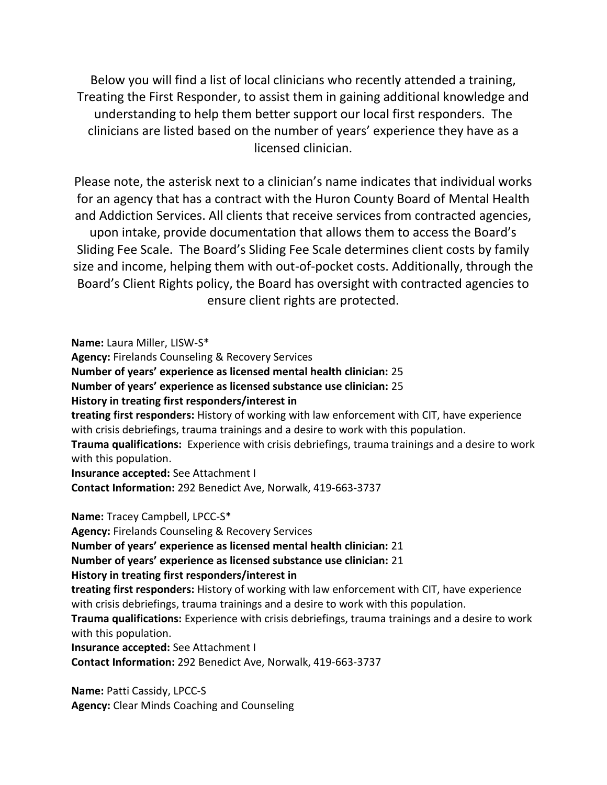Below you will find a list of local clinicians who recently attended a training, Treating the First Responder, to assist them in gaining additional knowledge and understanding to help them better support our local first responders. The clinicians are listed based on the number of years' experience they have as a licensed clinician.

Please note, the asterisk next to a clinician's name indicates that individual works for an agency that has a contract with the Huron County Board of Mental Health and Addiction Services. All clients that receive services from contracted agencies, upon intake, provide documentation that allows them to access the Board's Sliding Fee Scale. The Board's Sliding Fee Scale determines client costs by family size and income, helping them with out-of-pocket costs. Additionally, through the Board's Client Rights policy, the Board has oversight with contracted agencies to ensure client rights are protected.

**Name:** Laura Miller, LISW-S\* **Agency:** Firelands Counseling & Recovery Services **Number of years' experience as licensed mental health clinician:** 25 **Number of years' experience as licensed substance use clinician:** 25 **History in treating first responders/interest in treating first responders:** History of working with law enforcement with CIT, have experience with crisis debriefings, trauma trainings and a desire to work with this population. **Trauma qualifications:** Experience with crisis debriefings, trauma trainings and a desire to work with this population. **Insurance accepted:** See Attachment I **Contact Information:** 292 Benedict Ave, Norwalk, 419-663-3737 **Name:** Tracey Campbell, LPCC-S\* **Agency:** Firelands Counseling & Recovery Services **Number of years' experience as licensed mental health clinician:** 21 **Number of years' experience as licensed substance use clinician:** 21 **History in treating first responders/interest in treating first responders:** History of working with law enforcement with CIT, have experience with crisis debriefings, trauma trainings and a desire to work with this population. **Trauma qualifications:** Experience with crisis debriefings, trauma trainings and a desire to work with this population. **Insurance accepted:** See Attachment I **Contact Information:** 292 Benedict Ave, Norwalk, 419-663-3737

**Name:** Patti Cassidy, LPCC-S **Agency:** Clear Minds Coaching and Counseling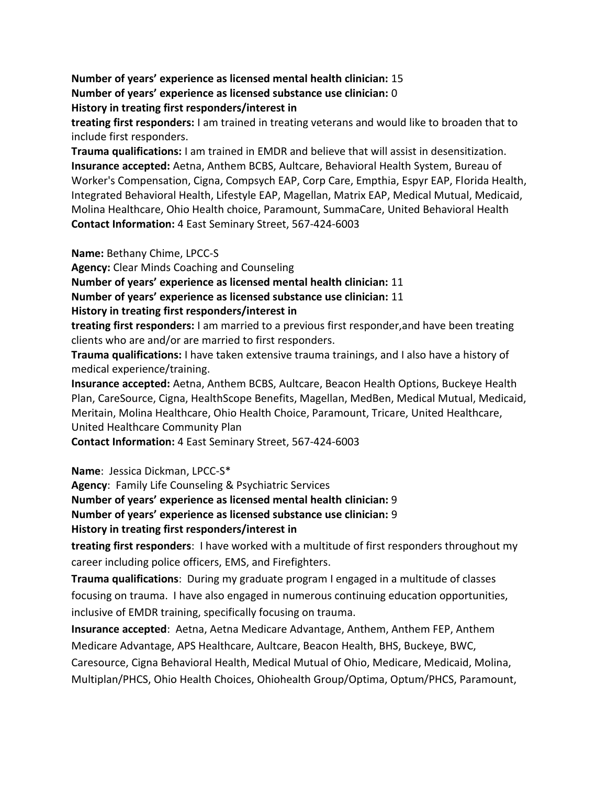**Number of years' experience as licensed mental health clinician:** 15 **Number of years' experience as licensed substance use clinician:** 0 **History in treating first responders/interest in**

**treating first responders:** I am trained in treating veterans and would like to broaden that to include first responders.

**Trauma qualifications:** I am trained in EMDR and believe that will assist in desensitization. **Insurance accepted:** Aetna, Anthem BCBS, Aultcare, Behavioral Health System, Bureau of Worker's Compensation, Cigna, Compsych EAP, Corp Care, Empthia, Espyr EAP, Florida Health, Integrated Behavioral Health, Lifestyle EAP, Magellan, Matrix EAP, Medical Mutual, Medicaid, Molina Healthcare, Ohio Health choice, Paramount, SummaCare, United Behavioral Health **Contact Information:** 4 East Seminary Street, 567-424-6003

**Name:** Bethany Chime, LPCC-S

**Agency:** Clear Minds Coaching and Counseling

**Number of years' experience as licensed mental health clinician:** 11

**Number of years' experience as licensed substance use clinician:** 11

#### **History in treating first responders/interest in**

**treating first responders:** I am married to a previous first responder,and have been treating clients who are and/or are married to first responders.

**Trauma qualifications:** I have taken extensive trauma trainings, and I also have a history of medical experience/training.

**Insurance accepted:** Aetna, Anthem BCBS, Aultcare, Beacon Health Options, Buckeye Health Plan, CareSource, Cigna, HealthScope Benefits, Magellan, MedBen, Medical Mutual, Medicaid, Meritain, Molina Healthcare, Ohio Health Choice, Paramount, Tricare, United Healthcare, United Healthcare Community Plan

**Contact Information:** 4 East Seminary Street, 567-424-6003

**Name**: Jessica Dickman, LPCC-S\*

**Agency**: Family Life Counseling & Psychiatric Services

**Number of years' experience as licensed mental health clinician:** 9

**Number of years' experience as licensed substance use clinician:** 9

## **History in treating first responders/interest in**

**treating first responders**: I have worked with a multitude of first responders throughout my career including police officers, EMS, and Firefighters.

**Trauma qualifications**: During my graduate program I engaged in a multitude of classes focusing on trauma. I have also engaged in numerous continuing education opportunities, inclusive of EMDR training, specifically focusing on trauma.

**Insurance accepted**: Aetna, Aetna Medicare Advantage, Anthem, Anthem FEP, Anthem Medicare Advantage, APS Healthcare, Aultcare, Beacon Health, BHS, Buckeye, BWC, Caresource, Cigna Behavioral Health, Medical Mutual of Ohio, Medicare, Medicaid, Molina, Multiplan/PHCS, Ohio Health Choices, Ohiohealth Group/Optima, Optum/PHCS, Paramount,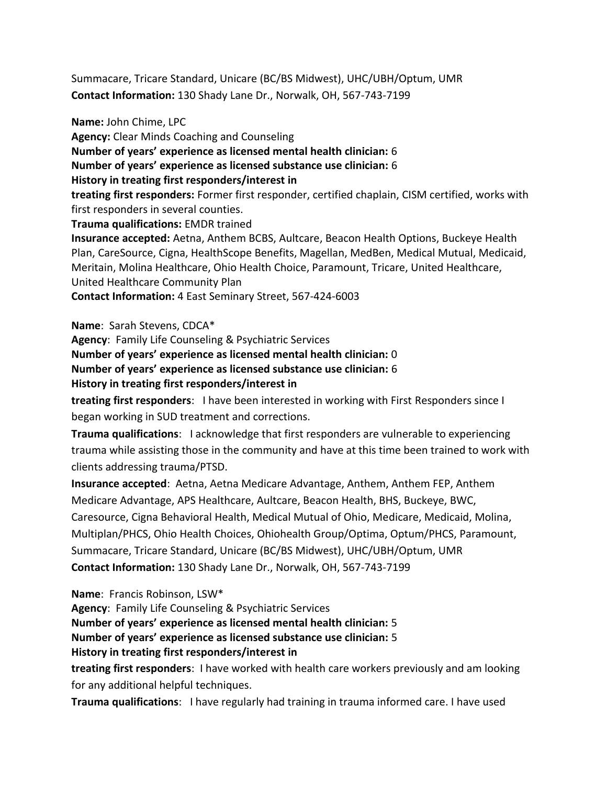Summacare, Tricare Standard, Unicare (BC/BS Midwest), UHC/UBH/Optum, UMR **Contact Information:** 130 Shady Lane Dr., Norwalk, OH, 567-743-7199

**Name:** John Chime, LPC **Agency:** Clear Minds Coaching and Counseling **Number of years' experience as licensed mental health clinician:** 6 **Number of years' experience as licensed substance use clinician:** 6 **History in treating first responders/interest in treating first responders:** Former first responder, certified chaplain, CISM certified, works with first responders in several counties. **Trauma qualifications:** EMDR trained **Insurance accepted:** Aetna, Anthem BCBS, Aultcare, Beacon Health Options, Buckeye Health Plan, CareSource, Cigna, HealthScope Benefits, Magellan, MedBen, Medical Mutual, Medicaid, Meritain, Molina Healthcare, Ohio Health Choice, Paramount, Tricare, United Healthcare, United Healthcare Community Plan **Contact Information:** 4 East Seminary Street, 567-424-6003

**Name**: Sarah Stevens, CDCA\*

**Agency**: Family Life Counseling & Psychiatric Services **Number of years' experience as licensed mental health clinician:** 0 **Number of years' experience as licensed substance use clinician:** 6 **History in treating first responders/interest in**

**treating first responders**: I have been interested in working with First Responders since I began working in SUD treatment and corrections.

**Trauma qualifications**: I acknowledge that first responders are vulnerable to experiencing trauma while assisting those in the community and have at this time been trained to work with clients addressing trauma/PTSD.

**Insurance accepted**: Aetna, Aetna Medicare Advantage, Anthem, Anthem FEP, Anthem Medicare Advantage, APS Healthcare, Aultcare, Beacon Health, BHS, Buckeye, BWC, Caresource, Cigna Behavioral Health, Medical Mutual of Ohio, Medicare, Medicaid, Molina, Multiplan/PHCS, Ohio Health Choices, Ohiohealth Group/Optima, Optum/PHCS, Paramount, Summacare, Tricare Standard, Unicare (BC/BS Midwest), UHC/UBH/Optum, UMR **Contact Information:** 130 Shady Lane Dr., Norwalk, OH, 567-743-7199

**Name**: Francis Robinson, LSW\*

**Agency**: Family Life Counseling & Psychiatric Services **Number of years' experience as licensed mental health clinician:** 5 **Number of years' experience as licensed substance use clinician:** 5 **History in treating first responders/interest in**

**treating first responders**: I have worked with health care workers previously and am looking for any additional helpful techniques.

**Trauma qualifications**: I have regularly had training in trauma informed care. I have used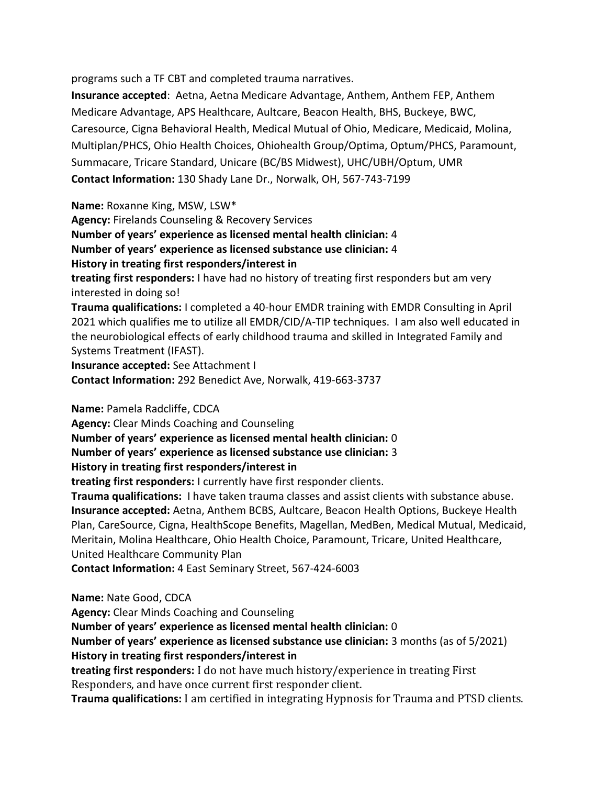programs such a TF CBT and completed trauma narratives.

**Insurance accepted**: Aetna, Aetna Medicare Advantage, Anthem, Anthem FEP, Anthem Medicare Advantage, APS Healthcare, Aultcare, Beacon Health, BHS, Buckeye, BWC, Caresource, Cigna Behavioral Health, Medical Mutual of Ohio, Medicare, Medicaid, Molina, Multiplan/PHCS, Ohio Health Choices, Ohiohealth Group/Optima, Optum/PHCS, Paramount, Summacare, Tricare Standard, Unicare (BC/BS Midwest), UHC/UBH/Optum, UMR **Contact Information:** 130 Shady Lane Dr., Norwalk, OH, 567-743-7199

**Name:** Roxanne King, MSW, LSW\*

**Agency:** Firelands Counseling & Recovery Services **Number of years' experience as licensed mental health clinician:** 4

**Number of years' experience as licensed substance use clinician:** 4

## **History in treating first responders/interest in**

**treating first responders:** I have had no history of treating first responders but am very interested in doing so!

**Trauma qualifications:** I completed a 40-hour EMDR training with EMDR Consulting in April 2021 which qualifies me to utilize all EMDR/CID/A-TIP techniques. I am also well educated in the neurobiological effects of early childhood trauma and skilled in Integrated Family and Systems Treatment (IFAST).

**Insurance accepted:** See Attachment I **Contact Information:** 292 Benedict Ave, Norwalk, 419-663-3737

**Name:** Pamela Radcliffe, CDCA

**Agency:** Clear Minds Coaching and Counseling

**Number of years' experience as licensed mental health clinician:** 0

**Number of years' experience as licensed substance use clinician:** 3

## **History in treating first responders/interest in**

**treating first responders:** I currently have first responder clients.

**Trauma qualifications:** I have taken trauma classes and assist clients with substance abuse. **Insurance accepted:** Aetna, Anthem BCBS, Aultcare, Beacon Health Options, Buckeye Health Plan, CareSource, Cigna, HealthScope Benefits, Magellan, MedBen, Medical Mutual, Medicaid, Meritain, Molina Healthcare, Ohio Health Choice, Paramount, Tricare, United Healthcare, United Healthcare Community Plan

**Contact Information:** 4 East Seminary Street, 567-424-6003

**Name:** Nate Good, CDCA

**Agency:** Clear Minds Coaching and Counseling **Number of years' experience as licensed mental health clinician:** 0 **Number of years' experience as licensed substance use clinician:** 3 months (as of 5/2021) **History in treating first responders/interest in treating first responders:** I do not have much history/experience in treating First Responders, and have once current first responder client. **Trauma qualifications:** I am certified in integrating Hypnosis for Trauma and PTSD clients.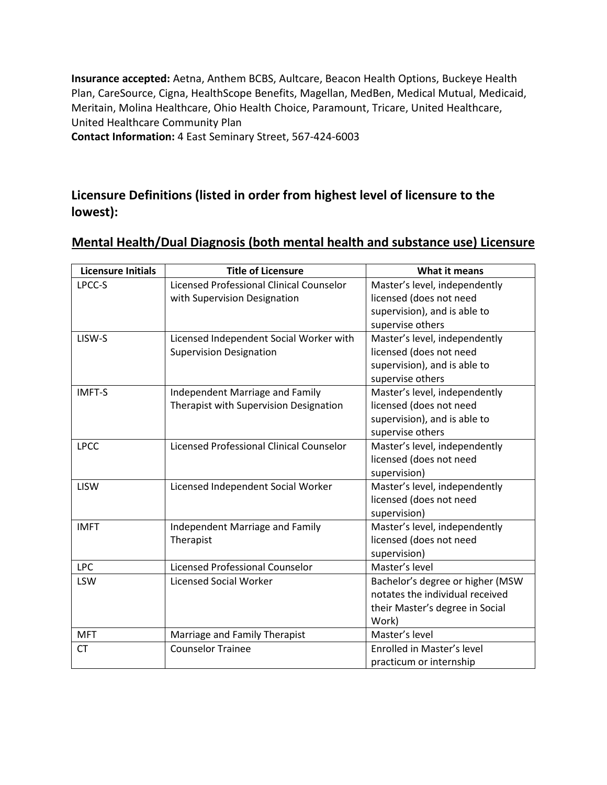**Insurance accepted:** Aetna, Anthem BCBS, Aultcare, Beacon Health Options, Buckeye Health Plan, CareSource, Cigna, HealthScope Benefits, Magellan, MedBen, Medical Mutual, Medicaid, Meritain, Molina Healthcare, Ohio Health Choice, Paramount, Tricare, United Healthcare, United Healthcare Community Plan **Contact Information:** 4 East Seminary Street, 567-424-6003

## **Licensure Definitions (listed in order from highest level of licensure to the lowest):**

| <b>Licensure Initials</b> | <b>Title of Licensure</b>                       | What it means                    |
|---------------------------|-------------------------------------------------|----------------------------------|
| LPCC-S                    | Licensed Professional Clinical Counselor        | Master's level, independently    |
|                           | with Supervision Designation                    | licensed (does not need          |
|                           |                                                 | supervision), and is able to     |
|                           |                                                 | supervise others                 |
| LISW-S                    | Licensed Independent Social Worker with         | Master's level, independently    |
|                           | <b>Supervision Designation</b>                  | licensed (does not need          |
|                           |                                                 | supervision), and is able to     |
|                           |                                                 | supervise others                 |
| <b>IMFT-S</b>             | Independent Marriage and Family                 | Master's level, independently    |
|                           | Therapist with Supervision Designation          | licensed (does not need          |
|                           |                                                 | supervision), and is able to     |
|                           |                                                 | supervise others                 |
| <b>LPCC</b>               | <b>Licensed Professional Clinical Counselor</b> | Master's level, independently    |
|                           |                                                 | licensed (does not need          |
|                           |                                                 | supervision)                     |
| <b>LISW</b>               | Licensed Independent Social Worker              | Master's level, independently    |
|                           |                                                 | licensed (does not need          |
|                           |                                                 | supervision)                     |
| <b>IMFT</b>               | Independent Marriage and Family                 | Master's level, independently    |
|                           | Therapist                                       | licensed (does not need          |
|                           |                                                 | supervision)                     |
| <b>LPC</b>                | <b>Licensed Professional Counselor</b>          | Master's level                   |
| LSW                       | <b>Licensed Social Worker</b>                   | Bachelor's degree or higher (MSW |
|                           |                                                 | notates the individual received  |
|                           |                                                 | their Master's degree in Social  |
|                           |                                                 | Work)                            |
| <b>MFT</b>                | Marriage and Family Therapist                   | Master's level                   |
| CT                        | <b>Counselor Trainee</b>                        | Enrolled in Master's level       |
|                           |                                                 | practicum or internship          |

## **Mental Health/Dual Diagnosis (both mental health and substance use) Licensure**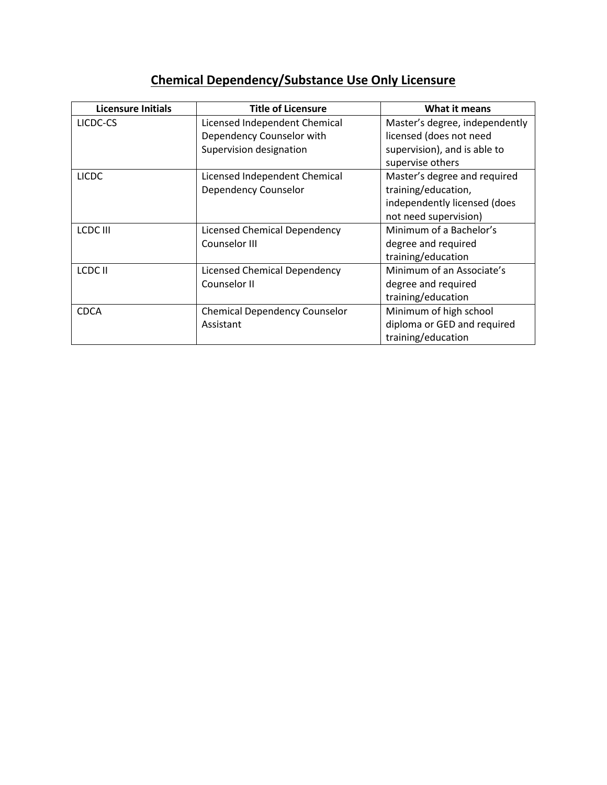# **Chemical Dependency/Substance Use Only Licensure**

| <b>Licensure Initials</b> | <b>Title of Licensure</b>            | What it means                  |
|---------------------------|--------------------------------------|--------------------------------|
| LICDC-CS                  | Licensed Independent Chemical        | Master's degree, independently |
|                           | Dependency Counselor with            | licensed (does not need        |
|                           | Supervision designation              | supervision), and is able to   |
|                           |                                      | supervise others               |
| <b>LICDC</b>              | Licensed Independent Chemical        | Master's degree and required   |
|                           | Dependency Counselor                 | training/education,            |
|                           |                                      | independently licensed (does   |
|                           |                                      | not need supervision)          |
| LCDC III                  | <b>Licensed Chemical Dependency</b>  | Minimum of a Bachelor's        |
|                           | Counselor III                        | degree and required            |
|                           |                                      | training/education             |
| LCDC II                   | Licensed Chemical Dependency         | Minimum of an Associate's      |
|                           | Counselor II                         | degree and required            |
|                           |                                      | training/education             |
| <b>CDCA</b>               | <b>Chemical Dependency Counselor</b> | Minimum of high school         |
|                           | Assistant                            | diploma or GED and required    |
|                           |                                      | training/education             |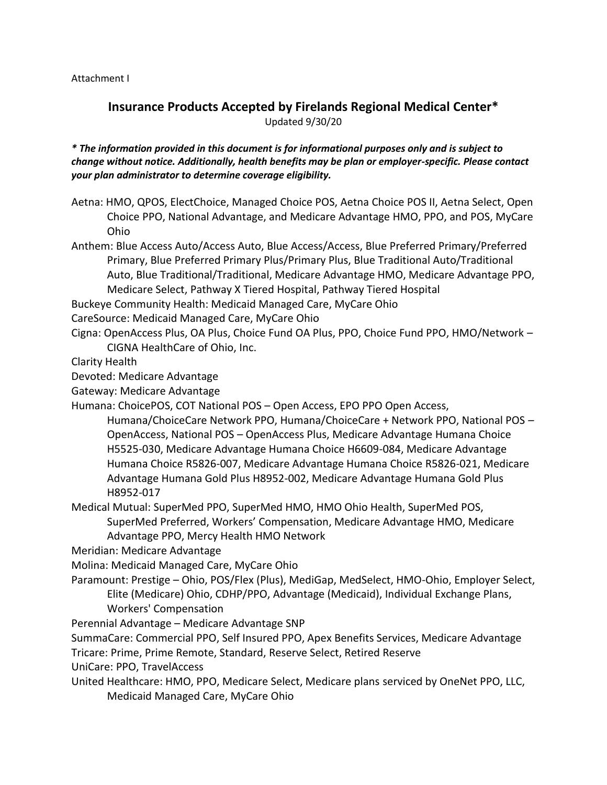Attachment I

## **Insurance Products Accepted by Firelands Regional Medical Center\*** Updated 9/30/20

*\* The information provided in this document is for informational purposes only and is subject to change without notice. Additionally, health benefits may be plan or employer-specific. Please contact your plan administrator to determine coverage eligibility.*

- Aetna: HMO, QPOS, ElectChoice, Managed Choice POS, Aetna Choice POS II, Aetna Select, Open Choice PPO, National Advantage, and Medicare Advantage HMO, PPO, and POS, MyCare Ohio
- Anthem: Blue Access Auto/Access Auto, Blue Access/Access, Blue Preferred Primary/Preferred Primary, Blue Preferred Primary Plus/Primary Plus, Blue Traditional Auto/Traditional Auto, Blue Traditional/Traditional, Medicare Advantage HMO, Medicare Advantage PPO, Medicare Select, Pathway X Tiered Hospital, Pathway Tiered Hospital

Buckeye Community Health: Medicaid Managed Care, MyCare Ohio

- CareSource: Medicaid Managed Care, MyCare Ohio
- Cigna: OpenAccess Plus, OA Plus, Choice Fund OA Plus, PPO, Choice Fund PPO, HMO/Network CIGNA HealthCare of Ohio, Inc.

Clarity Health

Devoted: Medicare Advantage

Gateway: Medicare Advantage

- Humana: ChoicePOS, COT National POS Open Access, EPO PPO Open Access,
	- Humana/ChoiceCare Network PPO, Humana/ChoiceCare + Network PPO, National POS OpenAccess, National POS – OpenAccess Plus, Medicare Advantage Humana Choice H5525-030, Medicare Advantage Humana Choice H6609-084, Medicare Advantage Humana Choice R5826-007, Medicare Advantage Humana Choice R5826-021, Medicare Advantage Humana Gold Plus H8952-002, Medicare Advantage Humana Gold Plus H8952-017
- Medical Mutual: SuperMed PPO, SuperMed HMO, HMO Ohio Health, SuperMed POS, SuperMed Preferred, Workers' Compensation, Medicare Advantage HMO, Medicare Advantage PPO, Mercy Health HMO Network
- Meridian: Medicare Advantage
- Molina: Medicaid Managed Care, MyCare Ohio
- Paramount: Prestige Ohio, POS/Flex (Plus), MediGap, MedSelect, HMO-Ohio, Employer Select, Elite (Medicare) Ohio, CDHP/PPO, Advantage (Medicaid), Individual Exchange Plans, Workers' Compensation
- Perennial Advantage Medicare Advantage SNP
- SummaCare: Commercial PPO, Self Insured PPO, Apex Benefits Services, Medicare Advantage
- Tricare: Prime, Prime Remote, Standard, Reserve Select, Retired Reserve

UniCare: PPO, TravelAccess

United Healthcare: HMO, PPO, Medicare Select, Medicare plans serviced by OneNet PPO, LLC, Medicaid Managed Care, MyCare Ohio